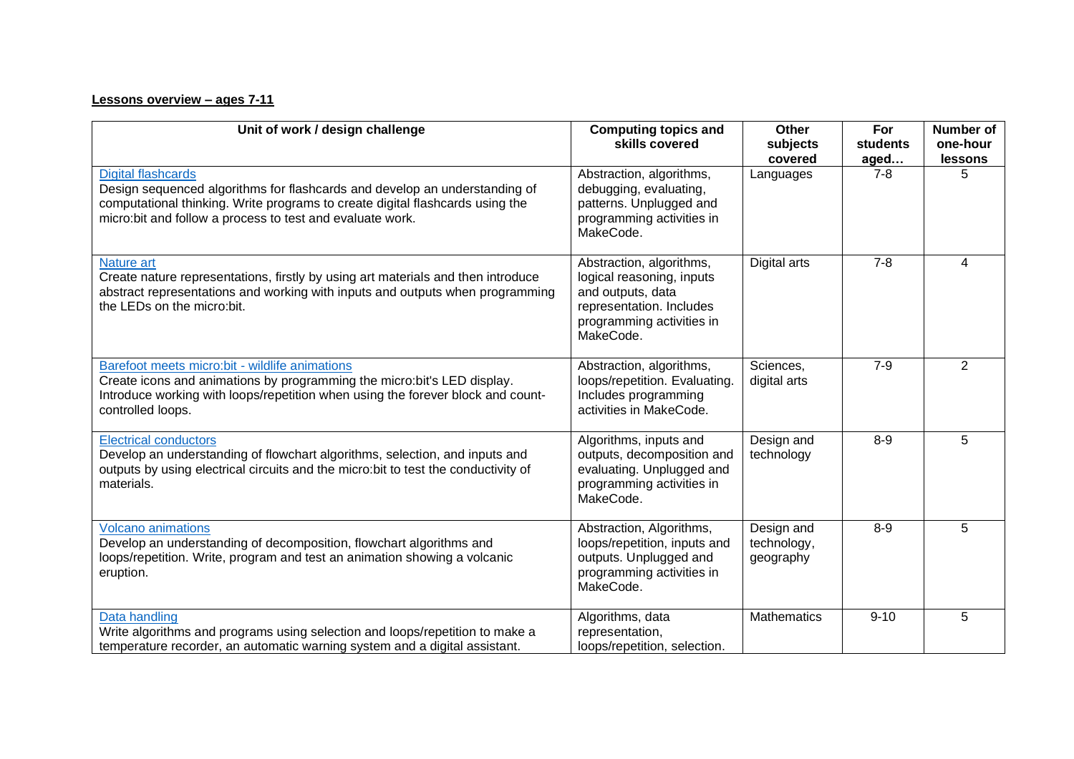## **Lessons overview – ages 7-11**

| Unit of work / design challenge                                                                                                                                                                                                                       | <b>Computing topics and</b><br>skills covered                                                                                                    | Other<br>subjects<br>covered           | For<br>students<br>aged | Number of<br>one-hour<br>lessons |
|-------------------------------------------------------------------------------------------------------------------------------------------------------------------------------------------------------------------------------------------------------|--------------------------------------------------------------------------------------------------------------------------------------------------|----------------------------------------|-------------------------|----------------------------------|
| <b>Digital flashcards</b><br>Design sequenced algorithms for flashcards and develop an understanding of<br>computational thinking. Write programs to create digital flashcards using the<br>micro:bit and follow a process to test and evaluate work. | Abstraction, algorithms,<br>debugging, evaluating,<br>patterns. Unplugged and<br>programming activities in<br>MakeCode.                          | Languages                              | $7 - 8$                 | 5                                |
| Nature art<br>Create nature representations, firstly by using art materials and then introduce<br>abstract representations and working with inputs and outputs when programming<br>the LEDs on the micro:bit.                                         | Abstraction, algorithms,<br>logical reasoning, inputs<br>and outputs, data<br>representation. Includes<br>programming activities in<br>MakeCode. | Digital arts                           | $7 - 8$                 | 4                                |
| Barefoot meets micro:bit - wildlife animations<br>Create icons and animations by programming the micro:bit's LED display.<br>Introduce working with loops/repetition when using the forever block and count-<br>controlled loops.                     | Abstraction, algorithms,<br>loops/repetition. Evaluating.<br>Includes programming<br>activities in MakeCode.                                     | Sciences,<br>digital arts              | $7-9$                   | 2                                |
| <b>Electrical conductors</b><br>Develop an understanding of flowchart algorithms, selection, and inputs and<br>outputs by using electrical circuits and the micro: bit to test the conductivity of<br>materials.                                      | Algorithms, inputs and<br>outputs, decomposition and<br>evaluating. Unplugged and<br>programming activities in<br>MakeCode.                      | Design and<br>technology               | $8-9$                   | 5                                |
| <b>Volcano animations</b><br>Develop an understanding of decomposition, flowchart algorithms and<br>loops/repetition. Write, program and test an animation showing a volcanic<br>eruption.                                                            | Abstraction, Algorithms,<br>loops/repetition, inputs and<br>outputs. Unplugged and<br>programming activities in<br>MakeCode.                     | Design and<br>technology,<br>geography | $8-9$                   | 5                                |
| Data handling<br>Write algorithms and programs using selection and loops/repetition to make a<br>temperature recorder, an automatic warning system and a digital assistant.                                                                           | Algorithms, data<br>representation,<br>loops/repetition, selection.                                                                              | <b>Mathematics</b>                     | $9 - 10$                | 5                                |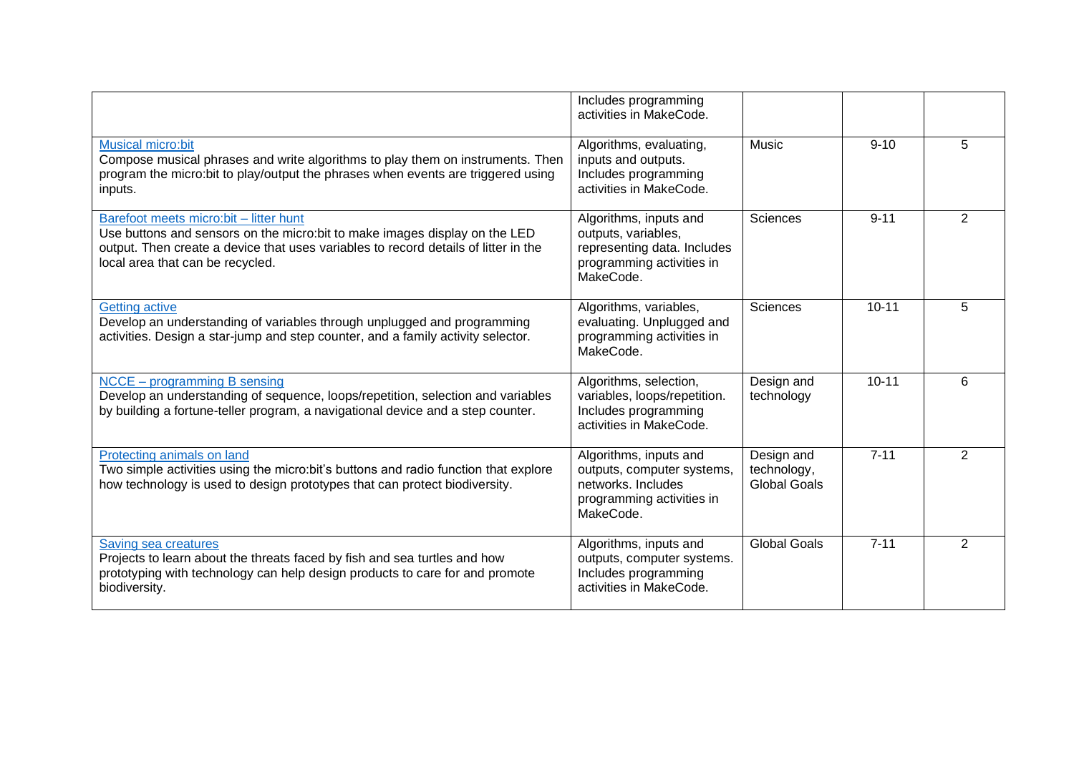|                                                                                                                                                                                                                                                  | Includes programming<br>activities in MakeCode.                                                                        |                                                  |           |                |
|--------------------------------------------------------------------------------------------------------------------------------------------------------------------------------------------------------------------------------------------------|------------------------------------------------------------------------------------------------------------------------|--------------------------------------------------|-----------|----------------|
| <b>Musical micro:bit</b><br>Compose musical phrases and write algorithms to play them on instruments. Then<br>program the micro:bit to play/output the phrases when events are triggered using<br>inputs.                                        | Algorithms, evaluating,<br>inputs and outputs.<br>Includes programming<br>activities in MakeCode.                      | <b>Music</b>                                     | $9 - 10$  | 5              |
| Barefoot meets micro:bit - litter hunt<br>Use buttons and sensors on the micro: bit to make images display on the LED<br>output. Then create a device that uses variables to record details of litter in the<br>local area that can be recycled. | Algorithms, inputs and<br>outputs, variables,<br>representing data. Includes<br>programming activities in<br>MakeCode. | Sciences                                         | $9 - 11$  | 2              |
| <b>Getting active</b><br>Develop an understanding of variables through unplugged and programming<br>activities. Design a star-jump and step counter, and a family activity selector.                                                             | Algorithms, variables,<br>evaluating. Unplugged and<br>programming activities in<br>MakeCode.                          | Sciences                                         | $10 - 11$ | 5              |
| NCCE - programming B sensing<br>Develop an understanding of sequence, loops/repetition, selection and variables<br>by building a fortune-teller program, a navigational device and a step counter.                                               | Algorithms, selection,<br>variables, loops/repetition.<br>Includes programming<br>activities in MakeCode.              | Design and<br>technology                         | $10 - 11$ | 6              |
| Protecting animals on land<br>Two simple activities using the micro:bit's buttons and radio function that explore<br>how technology is used to design prototypes that can protect biodiversity.                                                  | Algorithms, inputs and<br>outputs, computer systems,<br>networks. Includes<br>programming activities in<br>MakeCode.   | Design and<br>technology,<br><b>Global Goals</b> | $7 - 11$  | $\overline{2}$ |
| Saving sea creatures<br>Projects to learn about the threats faced by fish and sea turtles and how<br>prototyping with technology can help design products to care for and promote<br>biodiversity.                                               | Algorithms, inputs and<br>outputs, computer systems.<br>Includes programming<br>activities in MakeCode.                | <b>Global Goals</b>                              | $7 - 11$  | $\overline{2}$ |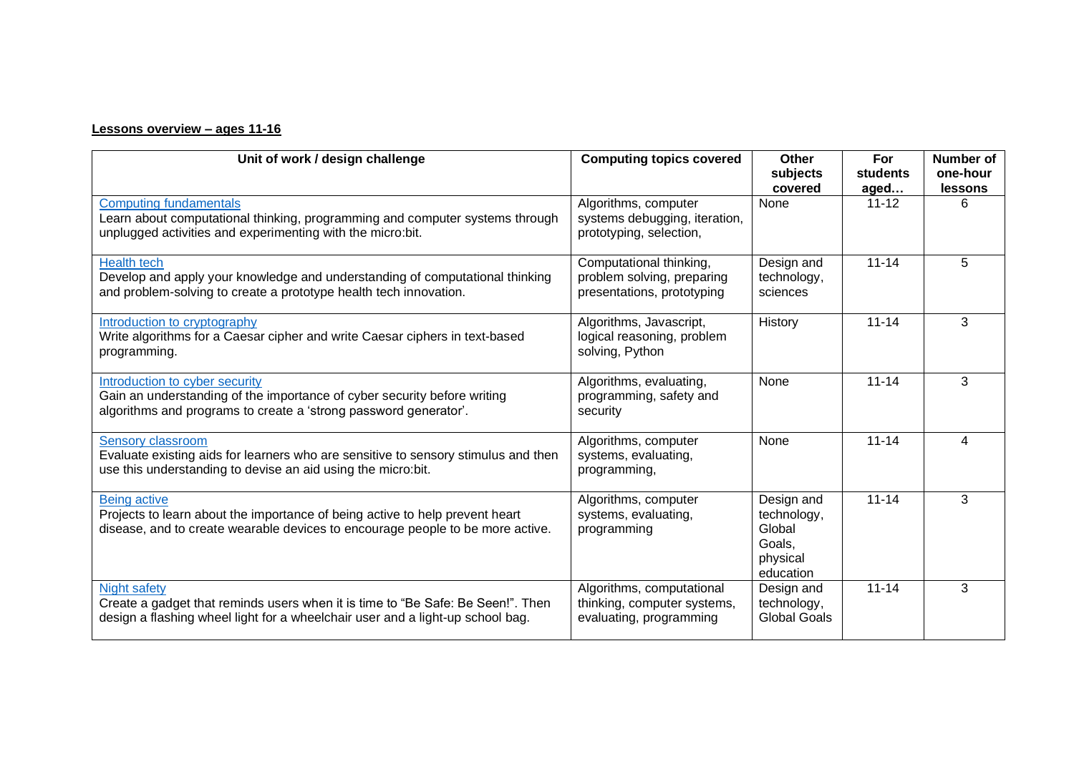## **Lessons overview – ages 11-16**

| Unit of work / design challenge                                                                                                                                                          | <b>Computing topics covered</b>                                                     | Other<br>subjects<br>covered                                           | For<br>students<br>aged | <b>Number of</b><br>one-hour<br>lessons |
|------------------------------------------------------------------------------------------------------------------------------------------------------------------------------------------|-------------------------------------------------------------------------------------|------------------------------------------------------------------------|-------------------------|-----------------------------------------|
| <b>Computing fundamentals</b><br>Learn about computational thinking, programming and computer systems through<br>unplugged activities and experimenting with the micro:bit.              | Algorithms, computer<br>systems debugging, iteration,<br>prototyping, selection,    | None                                                                   | $11 - 12$               | 6                                       |
| <b>Health tech</b><br>Develop and apply your knowledge and understanding of computational thinking<br>and problem-solving to create a prototype health tech innovation.                  | Computational thinking,<br>problem solving, preparing<br>presentations, prototyping | Design and<br>technology,<br>sciences                                  | $11 - 14$               | 5                                       |
| Introduction to cryptography<br>Write algorithms for a Caesar cipher and write Caesar ciphers in text-based<br>programming.                                                              | Algorithms, Javascript,<br>logical reasoning, problem<br>solving, Python            | History                                                                | $11 - 14$               | 3                                       |
| Introduction to cyber security<br>Gain an understanding of the importance of cyber security before writing<br>algorithms and programs to create a 'strong password generator'.           | Algorithms, evaluating,<br>programming, safety and<br>security                      | None                                                                   | $11 - 14$               | 3                                       |
| <b>Sensory classroom</b><br>Evaluate existing aids for learners who are sensitive to sensory stimulus and then<br>use this understanding to devise an aid using the micro:bit.           | Algorithms, computer<br>systems, evaluating,<br>programming,                        | None                                                                   | $11 - 14$               | 4                                       |
| <b>Being active</b><br>Projects to learn about the importance of being active to help prevent heart<br>disease, and to create wearable devices to encourage people to be more active.    | Algorithms, computer<br>systems, evaluating,<br>programming                         | Design and<br>technology,<br>Global<br>Goals,<br>physical<br>education | $11 - 14$               | 3                                       |
| <b>Night safety</b><br>Create a gadget that reminds users when it is time to "Be Safe: Be Seen!". Then<br>design a flashing wheel light for a wheelchair user and a light-up school bag. | Algorithms, computational<br>thinking, computer systems,<br>evaluating, programming | Design and<br>technology,<br><b>Global Goals</b>                       | $11 - 14$               | 3                                       |